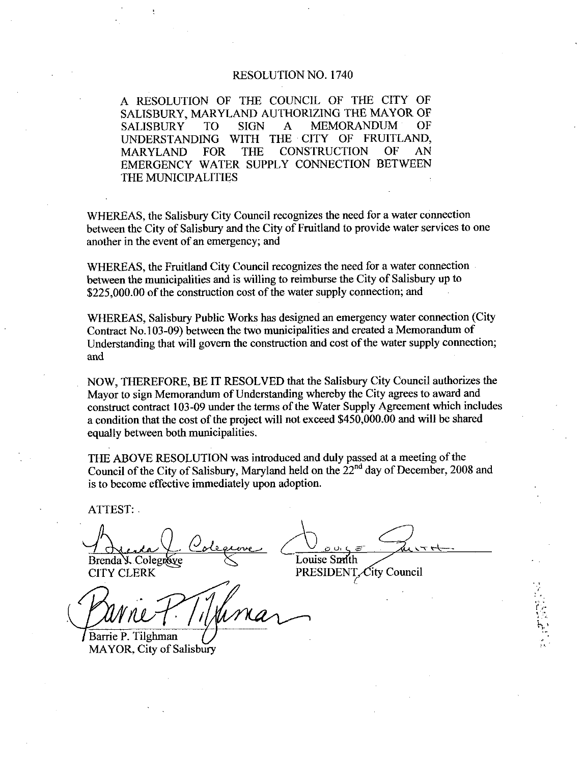## RESOLUTION NO. 1740

A RESOLUTION OF THE COUNCIL OF THE CITY OF SALISBURY, MARYLAND AUTHORIZING THE MAYOR OF SALISBURY TO SIGN A MEMORANDUM OF TO SIGN A MEMORANDUM UNDERSTANDING WITH THE CITY OF FRUITLAND,<br>MARYLAND FOR THE CONSTRUCTION OF AN MARYLAND FOR THE CONSTRUCTION OF AN EMERGENCY WATER SUPPLY CONNECTION BETWEEN THE MUNICIPALITIES

WHEREAS, the Salisbury City Council recognizes the need for a water connection between the City of Salisbury and the City of Fruitland to provide water services to one another in the event of an emergency; and

WHEREAS, the Fruitland City Council recognizes the need for a water connection<br>between the municipalities and is willing to reimburse the City of Salisbury up to<br>\$225,000.00 of the construction cost of the water supply con between the municipalities and is willing to reimburse the City of Salisbury up to \$225,000.00 of the construction cost of the water supply connection; and

WHEREAS, Salisbury Public Works has designed an emergency water connection (City) Contract No.103-09) between the two municipalities and created a Memorandum of Understanding that will govern the construction and cost of the water supply connection; and

NOW THEREFORE BEIT RESOLVED that the Salisbury City Council authorizes the Mayor to sign Memorandum of Understanding whereby the City agrees to award and Mayor to sign Memorandum of Understanding whereby the City agrees to award and construct contract 103-09 under the terms of the Water Supply Agreement which includes a condition that the cost of the project will not exceed equally between both municipalities

THE ABOVE RESOLUTION was introduced and duly passed at a meeting of the Council of the City of Salisbury, Maryland held on the  $22<sup>nd</sup>$  day of December, 2008 and is to become effective immediately upon adoption

ATTEST

<u>uove</u>

z <u>ek a</u> Louise Smith

PRESIDENT City Council

Brenda V. Colegrove CITY CLERK

Barrie P. Tilghman MAYOR, City of Salisbury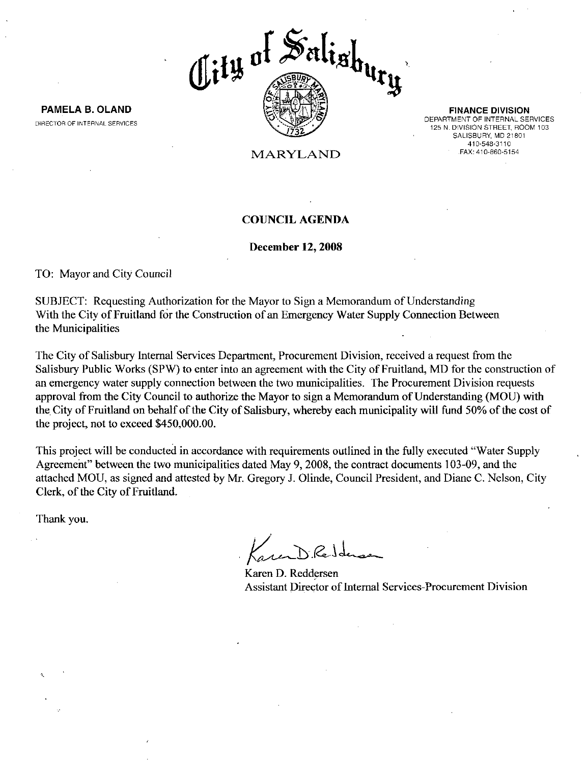

FINANCE DIVISION DEPARTMENT OF INTERNAL SERVICES 125 N. DIVISION STREET, ROOM 103 9 21810 SALISBURY, MD<br>110-548-3110<br>110-548-3110 410-548-3110<br>FAX: 410-860-5154.

MARYLAND

## COUNCIL AGENDA

## December 12, 2008

TO: Mayor and City Council

PAMELA B OLAND pIRECTOR OF INTERNAL SERVICES

SUBJECT: Requesting Authorization for the Mayor to Sign a Memorandum of Understanding With the City of Fruitland for the Construction of an Emergency Water Supply Connection Between the Municipalities

The City of Salisbury Internal Services Department, Procurement Division, received a request from the Salisbury Public Works (SPW) to enter into an agreement with the City of Fruitland, MD for the construction of an emergency water supply connection between the two municipalities. The Procurement Division requests approval from the City Council to authorize the Mayor to sign a Memorandum of Understanding (MOU) with the City of Fruitland on behalf of the City of Salisbury, whereby each municipality will fund 50% of the cost of approval from the City Council to author<br>the City of Fruitland on behalf of the C<br>the project, not to exceed \$450,000.00.

This project will be conducted in accordance with requirements outlined in the fully executed Water Supply Agreement" between the two municipalities dated May 9, 2008, the contract documents 103-09, and the attached MOU, as signed and attested by Mr. Gregory J. Olinde, Council President, and Diane C. Nelson, City Clerk, of the City of Fruitland.

Thank you

Karen D. Reddersen Assistant Director of Internal Services-Procurement Division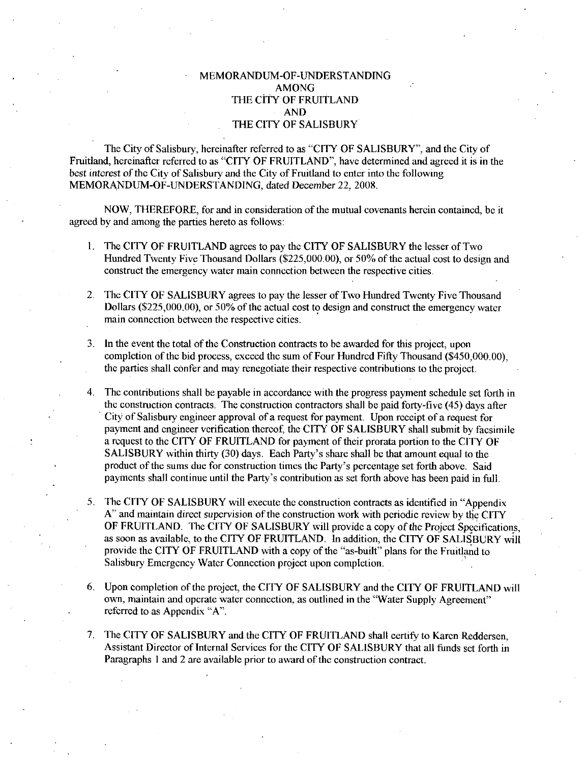## MEMORANDUM-OF-UNDERSTANDING<br>AMONG<br>THE CITY OF FRUITLAND AMONG THE CITY OF FRUITLAND AND THE CITY OF SALISBURY

The City of Salisbury, hereinafter referred to as "CITY OF SALISBURY", and the City of Fruitland, hereinafter referred to as "CITY OF FRUITLAND", have determined and agreed it is in the best interest of the City of Salisbury and the City of Fruitland to enter into the following MEMORANDUM-OF-UNDERSTANDING, dated December 22, 2008. MONG<br>
THE CITY OF FRUITLAND<br>
AND<br>
THE CITY OF SALISBURY<br>
The City of Salisbury, hereinafter referred to as "CITY OF SAL<br>
Fruitland, hereinafter referred to as "CITY OF FRUITLAND", have dete<br>
best interest of the City of Sa

NOW, THEREFORE, for and in consideration of the mutual covenants herein contained, be it agreed by and among the parties hereto as follows

- 1. The CITY OF FRUITLAND agrees to pay the CITY OF SALISBURY the lesser of Two Hundred Twenty Five Thousand Dollars (\$225,000.00), or 50% of the actual cost to design and construct the emergency water main connection between the respective cities
- 2. The CITY OF SALISBURY agrees to pay the lesser of Two Hundred Twenty Five Thousand construct the emergency water main connection between the respective cities.<br>The CITY OF SALISBURY agrees to pay the lesser of Two Hundred Twenty Five Thousand<br>Dollars (\$225,000.00), or 50% of the actual cost to design and main connection between the respective cities
- 3. In the event the total of the Construction contracts to be awarded for this project, upon completion of the bid process, the parties shall confer and may renegotiate their respective contributions to the project espective cities.<br>nstruction contracts to be awarded for this project, upon<br>exceed the sum of Four Hundred Fifty Thousand (\$450,000.00),<br>y renegotiate their respective contributions to the project.
- 4 The contributions shall be payable in accordance with the progress payment schedule set forth in the construction contracts. The construction contractors shall be paid forty-five  $(45)$  days after City of Salisbury engineer approval of a request for payment. Upon receipt of a request for City of Salisbury engineer approval of a request for payment. Upon receipt of a request for payment and engineer verification thereof, the CITY OF SALISBURY shall submit by facsimile a request to the CITY OF FRUITLAND for a request to the CITY OF FRUITLAND for payment of their prorata portion to the CITY OF shaze shall be that amount equal to the payment and engineer verification thereof, the CITY OF SALISBURY shall submit by factor a request to the CITY OF FRUITLAND for payment of their prorata portion to the CITY C SALISBURY within thirty (30) days. Each Party's a request to the CITY OF FRUITLAND<br>SALISBURY within thirty (30) days. E-<br>product of the sums due for construction<br>payments shall continue until the Party's payments shall continue until the Party's contribution as set forth above has been paid in full.
- The CITY OF SALISBURY will execute the construction contracts as identified in "Appendix" A" and maintain direct supervision of the construction work with periodic review by the CITY OF FRUITLAND. The CITY OF SALISBURY will provide a copy of the Project Specifications, as soon as available, to the CITY OF FRUITLAND. In addition, the CITY OF SALISBURY will OF FRUITLAND. The CITY OF SALISBURY will provide a copy of the Project Specific<br>as soon as available, to the CITY OF FRUITLAND. In addition, the CITY OF SALISBUI<br>provide the CITY OF FRUITLAND with a copy of the "as-built" Salisbury Emergency Water Connection project upon completion
- 6 Upon completion ofthe project the CITY OF SALISBURY and the CITYOF FRUITLAND will own, maintain and operate water connection, as outlined in the "Water Supply Agreement" referred to as Appendix "A".
- 7. The CITY OF SALISBURY and the CITY OF FRUITLAND shall certify to Karen Reddersen, Assistant Director of Internal Services for the CITY OF SALISBURY that all funds set forth in Paragraphs 1 and 2 are available prior to award of the construction contract.